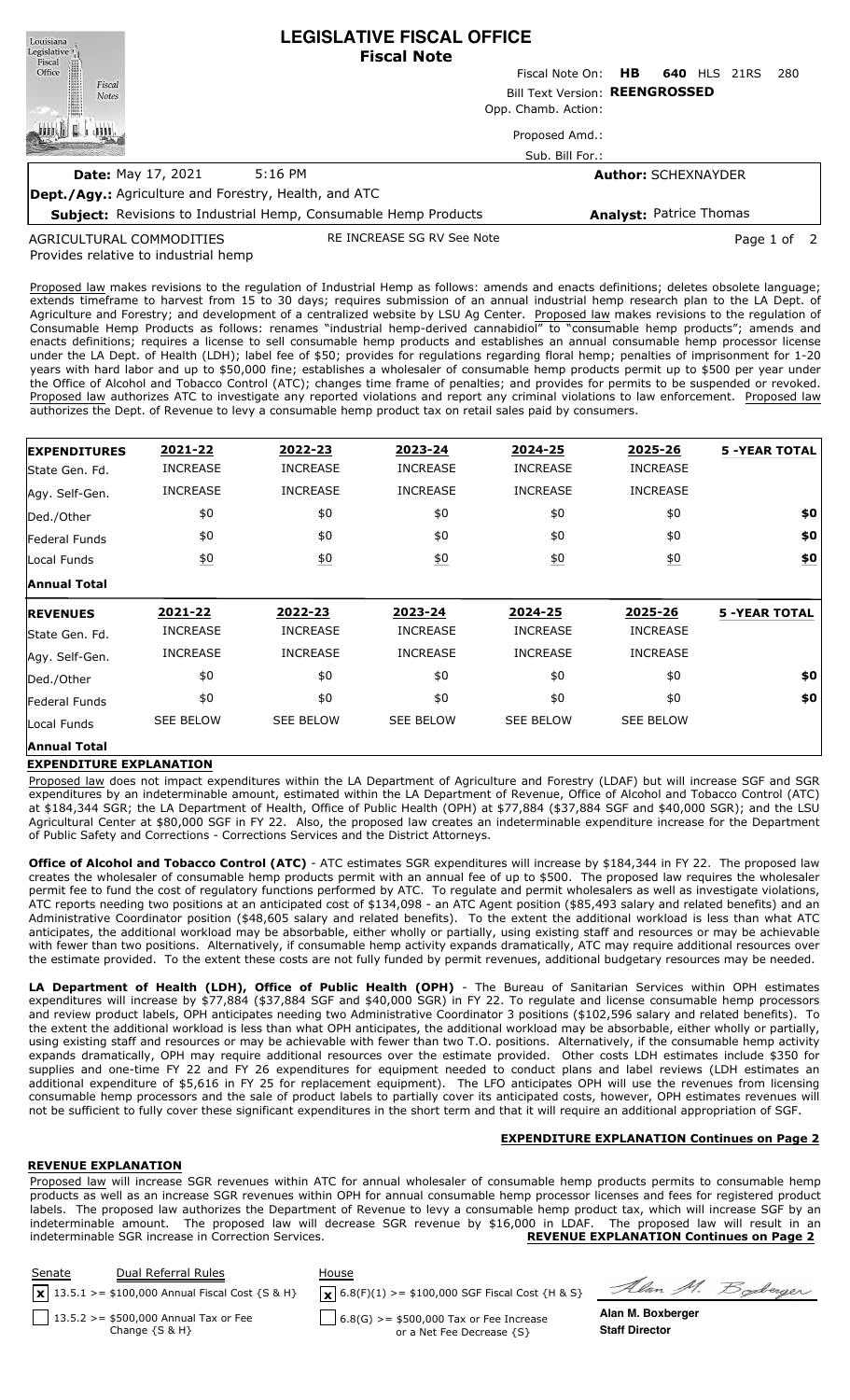| Louisiana<br>Legislative <sup>1</sup><br>Fiscal              | <b>LEGISLATIVE FISCAL OFFICE</b><br><b>Fiscal Note</b>          |                                |     |                                |             |     |  |
|--------------------------------------------------------------|-----------------------------------------------------------------|--------------------------------|-----|--------------------------------|-------------|-----|--|
| Office                                                       |                                                                 | Fiscal Note On:                | HB. | <b>640 HLS 21RS</b>            |             | 280 |  |
| Fiscal<br><b>Notes</b>                                       |                                                                 | Bill Text Version: REENGROSSED |     |                                |             |     |  |
|                                                              | Opp. Chamb. Action:                                             |                                |     |                                |             |     |  |
|                                                              |                                                                 | Proposed Amd.:                 |     |                                |             |     |  |
|                                                              |                                                                 | Sub. Bill For.:                |     |                                |             |     |  |
| <b>Date: May 17, 2021</b>                                    | $5:16$ PM                                                       |                                |     | <b>Author: SCHEXNAYDER</b>     |             |     |  |
| <b>Dept./Agy.:</b> Agriculture and Forestry, Health, and ATC |                                                                 |                                |     |                                |             |     |  |
|                                                              | Subject: Revisions to Industrial Hemp, Consumable Hemp Products |                                |     | <b>Analyst: Patrice Thomas</b> |             |     |  |
| AGRICULTURAL COMMODITIES                                     | RE INCREASE SG RV See Note                                      |                                |     |                                | Page 1 of 2 |     |  |

Provides relative to industrial hemp .ULTURAL COMMODITI

Proposed law makes revisions to the regulation of Industrial Hemp as follows: amends and enacts definitions; deletes obsolete language; extends timeframe to harvest from 15 to 30 days; requires submission of an annual industrial hemp research plan to the LA Dept. of Agriculture and Forestry; and development of a centralized website by LSU Ag Center. Proposed law makes revisions to the regulation of Consumable Hemp Products as follows: renames "industrial hemp-derived cannabidiol" to "consumable hemp products"; amends and enacts definitions; requires a license to sell consumable hemp products and establishes an annual consumable hemp processor license under the LA Dept. of Health (LDH); label fee of \$50; provides for regulations regarding floral hemp; penalties of imprisonment for 1-20 years with hard labor and up to \$50,000 fine; establishes a wholesaler of consumable hemp products permit up to \$500 per year under the Office of Alcohol and Tobacco Control (ATC); changes time frame of penalties; and provides for permits to be suspended or revoked. Proposed law authorizes ATC to investigate any reported violations and report any criminal violations to law enforcement. Proposed law authorizes the Dept. of Revenue to levy a consumable hemp product tax on retail sales paid by consumers.

| <b>EXPENDITURES</b>               | 2021-22          | 2022-23           | 2023-24          | 2024-25          | 2025-26          | <b>5 -YEAR TOTAL</b> |
|-----------------------------------|------------------|-------------------|------------------|------------------|------------------|----------------------|
| State Gen. Fd.                    | <b>INCREASE</b>  | <b>INCREASE</b>   | <b>INCREASE</b>  | <b>INCREASE</b>  | <b>INCREASE</b>  |                      |
| Agy. Self-Gen.                    | <b>INCREASE</b>  | <b>INCREASE</b>   | <b>INCREASE</b>  | <b>INCREASE</b>  | <b>INCREASE</b>  |                      |
| Ded./Other                        | \$0              | \$0               | \$0              | \$0              | \$0              | \$0                  |
| Federal Funds                     | \$0              | \$0               | \$0              | \$0              | \$0              | \$0                  |
| Local Funds                       | 60               | $\underline{\$0}$ | $\underline{50}$ | 60               | $\underline{50}$ | \$0                  |
| <b>Annual Total</b>               |                  |                   |                  |                  |                  |                      |
|                                   |                  |                   |                  |                  |                  |                      |
|                                   | 2021-22          | 2022-23           | 2023-24          | 2024-25          | 2025-26          | <b>5 -YEAR TOTAL</b> |
| <b>REVENUES</b><br>State Gen. Fd. | <b>INCREASE</b>  | <b>INCREASE</b>   | <b>INCREASE</b>  | <b>INCREASE</b>  | <b>INCREASE</b>  |                      |
| Agy. Self-Gen.                    | <b>INCREASE</b>  | <b>INCREASE</b>   | <b>INCREASE</b>  | <b>INCREASE</b>  | <b>INCREASE</b>  |                      |
| Ded./Other                        | \$0              | \$0               | \$0              | \$0              | \$0              | \$0                  |
| Federal Funds                     | \$0              | \$0               | \$0              | \$0              | \$0              | \$0                  |
| Local Funds                       | <b>SEE BELOW</b> | <b>SEE BELOW</b>  | <b>SEE BELOW</b> | <b>SEE BELOW</b> | <b>SEE BELOW</b> |                      |

## **EXPENDITURE EXPLANATION**

Proposed law does not impact expenditures within the LA Department of Agriculture and Forestry (LDAF) but will increase SGF and SGR expenditures by an indeterminable amount, estimated within the LA Department of Revenue, Office of Alcohol and Tobacco Control (ATC) at \$184,344 SGR; the LA Department of Health, Office of Public Health (OPH) at \$77,884 (\$37,884 SGF and \$40,000 SGR); and the LSU Agricultural Center at \$80,000 SGF in FY 22. Also, the proposed law creates an indeterminable expenditure increase for the Department of Public Safety and Corrections - Corrections Services and the District Attorneys.

**Office of Alcohol and Tobacco Control (ATC)** - ATC estimates SGR expenditures will increase by \$184,344 in FY 22. The proposed law creates the wholesaler of consumable hemp products permit with an annual fee of up to \$500. The proposed law requires the wholesaler permit fee to fund the cost of regulatory functions performed by ATC. To regulate and permit wholesalers as well as investigate violations, ATC reports needing two positions at an anticipated cost of \$134,098 - an ATC Agent position (\$85,493 salary and related benefits) and an Administrative Coordinator position (\$48,605 salary and related benefits). To the extent the additional workload is less than what ATC anticipates, the additional workload may be absorbable, either wholly or partially, using existing staff and resources or may be achievable with fewer than two positions. Alternatively, if consumable hemp activity expands dramatically, ATC may require additional resources over the estimate provided. To the extent these costs are not fully funded by permit revenues, additional budgetary resources may be needed.

**LA Department of Health (LDH), Office of Public Health (OPH)** - The Bureau of Sanitarian Services within OPH estimates expenditures will increase by \$77,884 (\$37,884 SGF and \$40,000 SGR) in FY 22. To regulate and license consumable hemp processors and review product labels, OPH anticipates needing two Administrative Coordinator 3 positions (\$102,596 salary and related benefits). To the extent the additional workload is less than what OPH anticipates, the additional workload may be absorbable, either wholly or partially, using existing staff and resources or may be achievable with fewer than two T.O. positions. Alternatively, if the consumable hemp activity expands dramatically, OPH may require additional resources over the estimate provided. Other costs LDH estimates include \$350 for supplies and one-time FY 22 and FY 26 expenditures for equipment needed to conduct plans and label reviews (LDH estimates an additional expenditure of \$5,616 in FY 25 for replacement equipment). The LFO anticipates OPH will use the revenues from licensing consumable hemp processors and the sale of product labels to partially cover its anticipated costs, however, OPH estimates revenues will not be sufficient to fully cover these significant expenditures in the short term and that it will require an additional appropriation of SGF.

# **EXPENDITURE EXPLANATION Continues on Page 2**

## **REVENUE EXPLANATION**

Proposed law will increase SGR revenues within ATC for annual wholesaler of consumable hemp products permits to consumable hemp products as well as an increase SGR revenues within OPH for annual consumable hemp processor licenses and fees for registered product labels. The proposed law authorizes the Department of Revenue to levy a consumable hemp product tax, which will increase SGF by an indeterminable amount. The proposed law will decrease SGR revenue by \$16,000 in LDAF. The proposed law will result in an indeterminable SGR increase in Correction Services. **REVENUE EXPLANATION Continues on Page 2**

| Senate | Dual Referral Rules<br>$\mathbf{x}$ 13.5.1 > = \$100,000 Annual Fiscal Cost {S & H} | House<br>$\mathbf{X}$ 6.8(F)(1) >= \$100,000 SGF Fiscal Cost {H & S} | Alan M. Boderger      |
|--------|-------------------------------------------------------------------------------------|----------------------------------------------------------------------|-----------------------|
|        | $13.5.2 > = $500,000$ Annual Tax or Fee                                             | $6.8(G)$ >= \$500,000 Tax or Fee Increase                            | Alan M. Boxberger     |
|        | Change $\{S \& H\}$                                                                 | or a Net Fee Decrease {S}                                            | <b>Staff Director</b> |